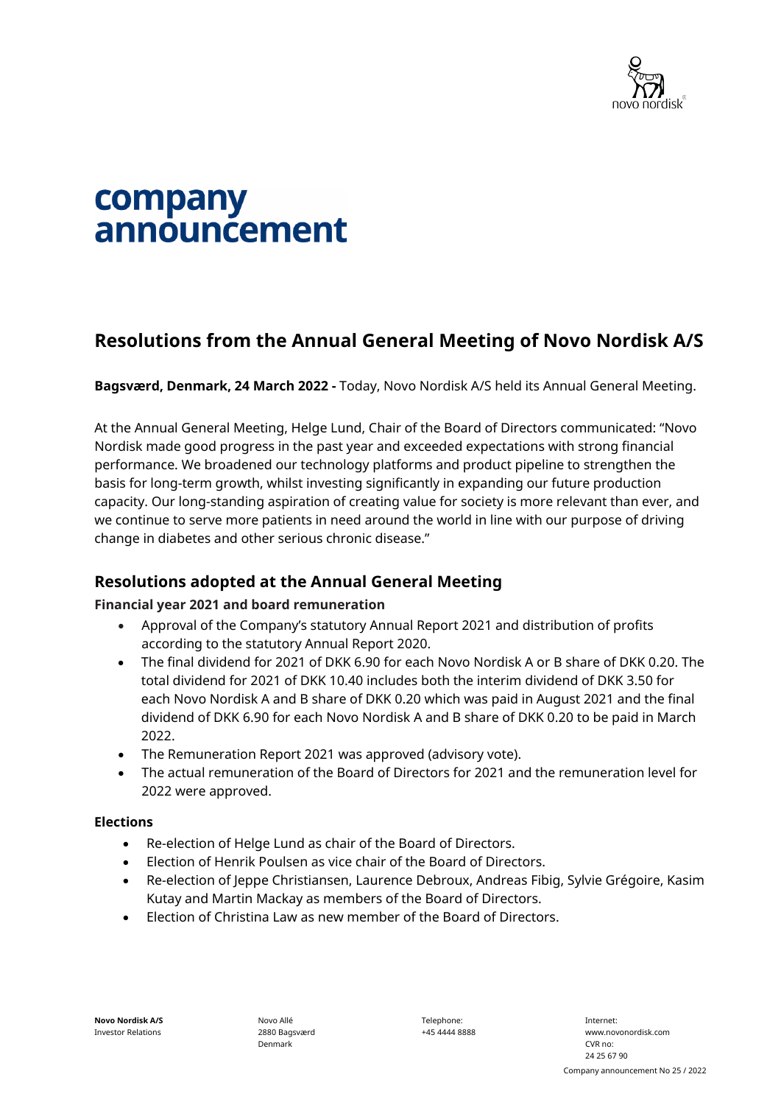

# company announcement

## **Resolutions from the Annual General Meeting of Novo Nordisk A/S**

**Bagsværd, Denmark, 24 March 2022 -** Today, Novo Nordisk A/S held its Annual General Meeting.

At the Annual General Meeting, Helge Lund, Chair of the Board of Directors communicated: "Novo Nordisk made good progress in the past year and exceeded expectations with strong financial performance. We broadened our technology platforms and product pipeline to strengthen the basis for long-term growth, whilst investing significantly in expanding our future production capacity. Our long-standing aspiration of creating value for society is more relevant than ever, and we continue to serve more patients in need around the world in line with our purpose of driving change in diabetes and other serious chronic disease."

### **Resolutions adopted at the Annual General Meeting**

#### **Financial year 2021 and board remuneration**

- Approval of the Company's statutory Annual Report 2021 and distribution of profits according to the statutory Annual Report 2020.
- The final dividend for 2021 of DKK 6.90 for each Novo Nordisk A or B share of DKK 0.20. The total dividend for 2021 of DKK 10.40 includes both the interim dividend of DKK 3.50 for each Novo Nordisk A and B share of DKK 0.20 which was paid in August 2021 and the final dividend of DKK 6.90 for each Novo Nordisk A and B share of DKK 0.20 to be paid in March 2022.
- The Remuneration Report 2021 was approved (advisory vote).
- The actual remuneration of the Board of Directors for 2021 and the remuneration level for 2022 were approved.

#### **Elections**

- Re-election of Helge Lund as chair of the Board of Directors.
- Election of Henrik Poulsen as vice chair of the Board of Directors.
- Re-election of Jeppe Christiansen, Laurence Debroux, Andreas Fibig, Sylvie Grégoire, Kasim Kutay and Martin Mackay as members of the Board of Directors.
- Election of Christina Law as new member of the Board of Directors.

Telephone: +45 4444 8888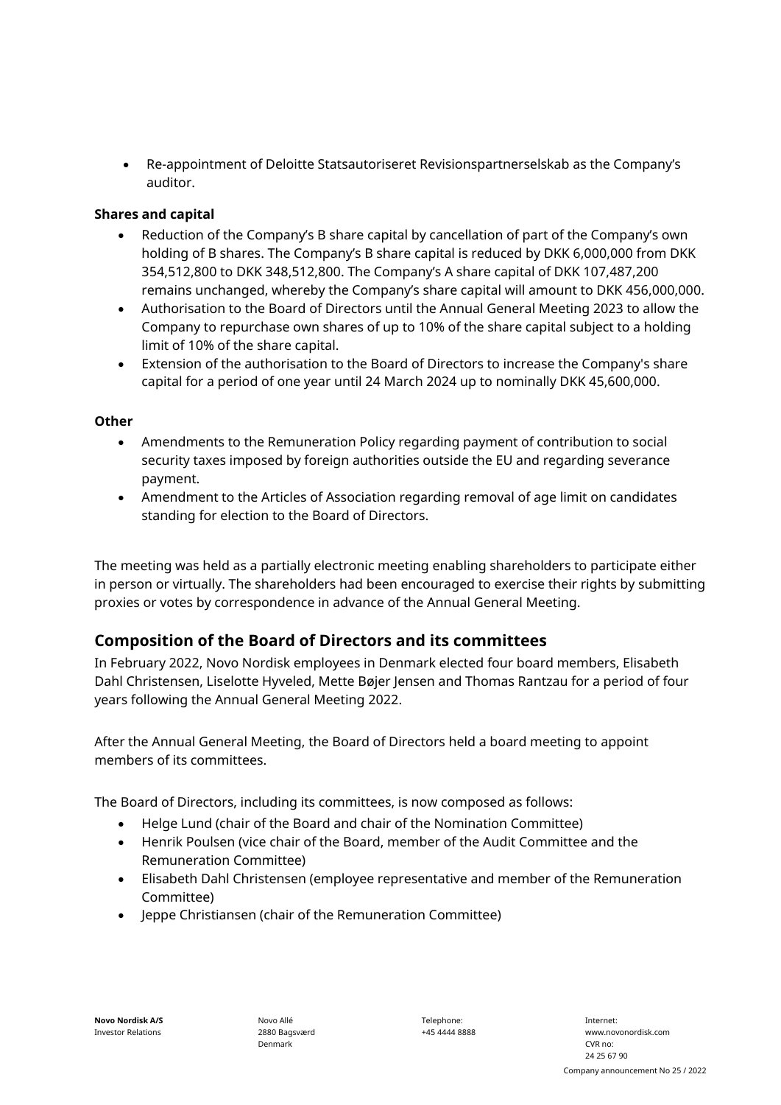• Re-appointment of Deloitte Statsautoriseret Revisionspartnerselskab as the Company's auditor.

#### **Shares and capital**

- Reduction of the Company's B share capital by cancellation of part of the Company's own holding of B shares. The Company's B share capital is reduced by DKK 6,000,000 from DKK 354,512,800 to DKK 348,512,800. The Company's A share capital of DKK 107,487,200 remains unchanged, whereby the Company's share capital will amount to DKK 456,000,000.
- Authorisation to the Board of Directors until the Annual General Meeting 2023 to allow the Company to repurchase own shares of up to 10% of the share capital subject to a holding limit of 10% of the share capital.
- Extension of the authorisation to the Board of Directors to increase the Company's share capital for a period of one year until 24 March 2024 up to nominally DKK 45,600,000.

#### **Other**

- Amendments to the Remuneration Policy regarding payment of contribution to social security taxes imposed by foreign authorities outside the EU and regarding severance payment.
- Amendment to the Articles of Association regarding removal of age limit on candidates standing for election to the Board of Directors.

The meeting was held as a partially electronic meeting enabling shareholders to participate either in person or virtually. The shareholders had been encouraged to exercise their rights by submitting proxies or votes by correspondence in advance of the Annual General Meeting.

## **Composition of the Board of Directors and its committees**

In February 2022, Novo Nordisk employees in Denmark elected four board members, Elisabeth Dahl Christensen, Liselotte Hyveled, Mette Bøjer Jensen and Thomas Rantzau for a period of four years following the Annual General Meeting 2022.

After the Annual General Meeting, the Board of Directors held a board meeting to appoint members of its committees.

The Board of Directors, including its committees, is now composed as follows:

- Helge Lund (chair of the Board and chair of the Nomination Committee)
- Henrik Poulsen (vice chair of the Board, member of the Audit Committee and the Remuneration Committee)
- Elisabeth Dahl Christensen (employee representative and member of the Remuneration Committee)
- Jeppe Christiansen (chair of the Remuneration Committee)

Novo Allé 2880 Bagsværd Denmark

Telephone: +45 4444 8888